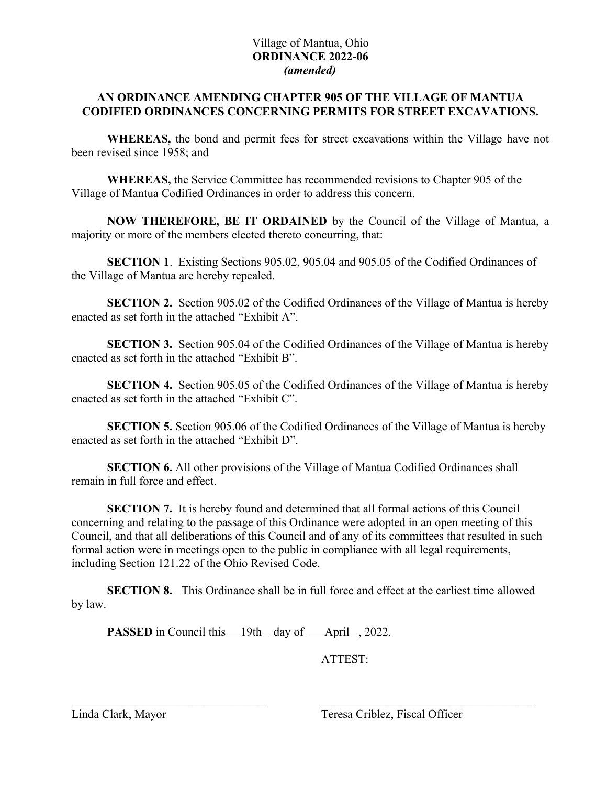# Village of Mantua, Ohio **ORDINANCE 2022-06** *(amended)*

# **AN ORDINANCE AMENDING CHAPTER 905 OF THE VILLAGE OF MANTUA CODIFIED ORDINANCES CONCERNING PERMITS FOR STREET EXCAVATIONS.**

**WHEREAS,** the bond and permit fees for street excavations within the Village have not been revised since 1958; and

**WHEREAS,** the Service Committee has recommended revisions to Chapter 905 of the Village of Mantua Codified Ordinances in order to address this concern.

**NOW THEREFORE, BE IT ORDAINED** by the Council of the Village of Mantua, a majority or more of the members elected thereto concurring, that:

**SECTION 1**. Existing Sections 905.02, 905.04 and 905.05 of the Codified Ordinances of the Village of Mantua are hereby repealed.

**SECTION 2.** Section 905.02 of the Codified Ordinances of the Village of Mantua is hereby enacted as set forth in the attached "Exhibit A".

**SECTION 3.** Section 905.04 of the Codified Ordinances of the Village of Mantua is hereby enacted as set forth in the attached "Exhibit B".

**SECTION 4.** Section 905.05 of the Codified Ordinances of the Village of Mantua is hereby enacted as set forth in the attached "Exhibit C".

**SECTION 5.** Section 905.06 of the Codified Ordinances of the Village of Mantua is hereby enacted as set forth in the attached "Exhibit D".

**SECTION 6.** All other provisions of the Village of Mantua Codified Ordinances shall remain in full force and effect.

**SECTION 7.** It is hereby found and determined that all formal actions of this Council concerning and relating to the passage of this Ordinance were adopted in an open meeting of this Council, and that all deliberations of this Council and of any of its committees that resulted in such formal action were in meetings open to the public in compliance with all legal requirements, including Section 121.22 of the Ohio Revised Code.

**SECTION 8.** This Ordinance shall be in full force and effect at the earliest time allowed by law.

**PASSED** in Council this 19th day of April, 2022.

ATTEST: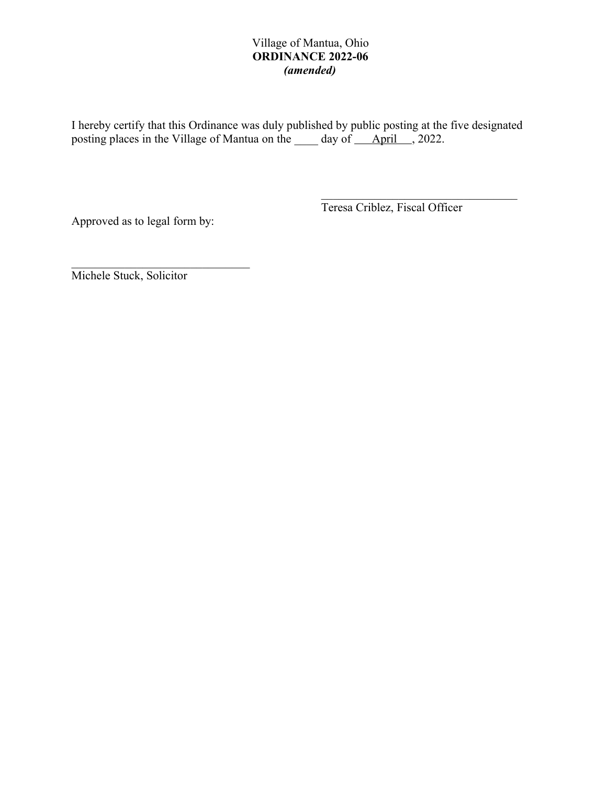# Village of Mantua, Ohio **ORDINANCE 2022-06** *(amended)*

I hereby certify that this Ordinance was duly published by public posting at the five designated posting places in the Village of Mantua on the \_\_\_\_\_ day of \_\_\_\_ April \_\_\_, 2022.

Approved as to legal form by:

Teresa Criblez, Fiscal Officer

Michele Stuck, Solicitor